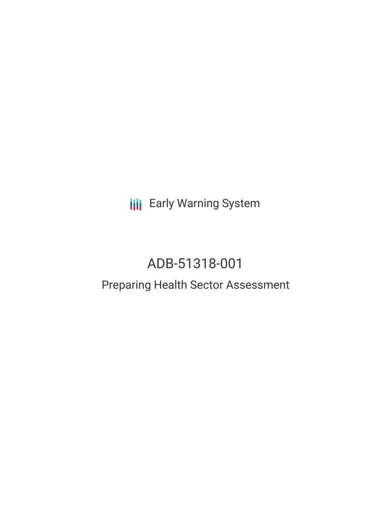**III** Early Warning System

# ADB-51318-001

## Preparing Health Sector Assessment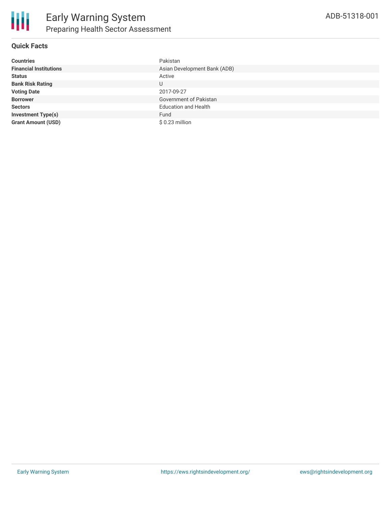

## **Quick Facts**

| <b>Countries</b>              | Pakistan                     |
|-------------------------------|------------------------------|
| <b>Financial Institutions</b> | Asian Development Bank (ADB) |
| <b>Status</b>                 | Active                       |
| <b>Bank Risk Rating</b>       | U                            |
| <b>Voting Date</b>            | 2017-09-27                   |
| <b>Borrower</b>               | Government of Pakistan       |
| <b>Sectors</b>                | <b>Education and Health</b>  |
| <b>Investment Type(s)</b>     | Fund                         |
| <b>Grant Amount (USD)</b>     | $$0.23$ million              |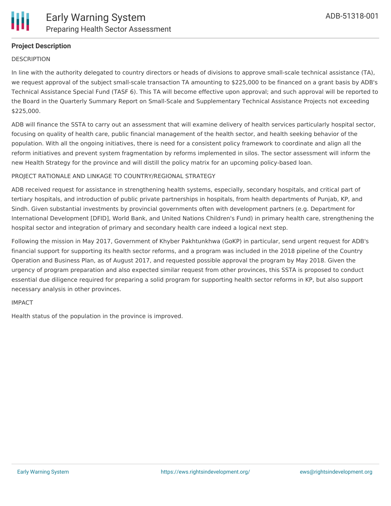

## **Project Description**

#### **DESCRIPTION**

In line with the authority delegated to country directors or heads of divisions to approve small-scale technical assistance (TA), we request approval of the subject small-scale transaction TA amounting to \$225,000 to be financed on a grant basis by ADB's Technical Assistance Special Fund (TASF 6). This TA will become effective upon approval; and such approval will be reported to the Board in the Quarterly Summary Report on Small-Scale and Supplementary Technical Assistance Projects not exceeding \$225,000.

ADB will finance the SSTA to carry out an assessment that will examine delivery of health services particularly hospital sector, focusing on quality of health care, public financial management of the health sector, and health seeking behavior of the population. With all the ongoing initiatives, there is need for a consistent policy framework to coordinate and align all the reform initiatives and prevent system fragmentation by reforms implemented in silos. The sector assessment will inform the new Health Strategy for the province and will distill the policy matrix for an upcoming policy-based loan.

#### PROJECT RATIONALE AND LINKAGE TO COUNTRY/REGIONAL STRATEGY

ADB received request for assistance in strengthening health systems, especially, secondary hospitals, and critical part of tertiary hospitals, and introduction of public private partnerships in hospitals, from health departments of Punjab, KP, and Sindh. Given substantial investments by provincial governments often with development partners (e.g. Department for International Development [DFID], World Bank, and United Nations Children's Fund) in primary health care, strengthening the hospital sector and integration of primary and secondary health care indeed a logical next step.

Following the mission in May 2017, Government of Khyber Pakhtunkhwa (GoKP) in particular, send urgent request for ADB's financial support for supporting its health sector reforms, and a program was included in the 2018 pipeline of the Country Operation and Business Plan, as of August 2017, and requested possible approval the program by May 2018. Given the urgency of program preparation and also expected similar request from other provinces, this SSTA is proposed to conduct essential due diligence required for preparing a solid program for supporting health sector reforms in KP, but also support necessary analysis in other provinces.

#### IMPACT

Health status of the population in the province is improved.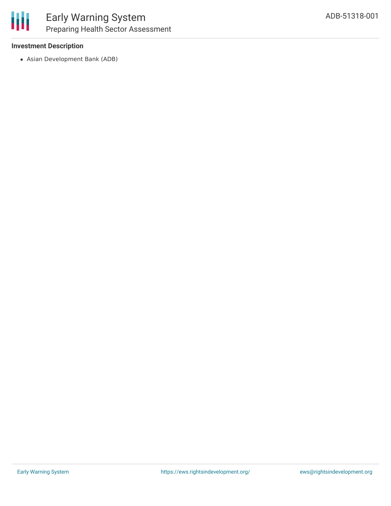## **Investment Description**

Asian Development Bank (ADB)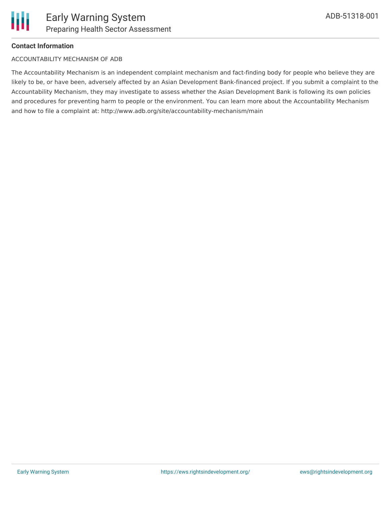

## **Contact Information**

#### ACCOUNTABILITY MECHANISM OF ADB

The Accountability Mechanism is an independent complaint mechanism and fact-finding body for people who believe they are likely to be, or have been, adversely affected by an Asian Development Bank-financed project. If you submit a complaint to the Accountability Mechanism, they may investigate to assess whether the Asian Development Bank is following its own policies and procedures for preventing harm to people or the environment. You can learn more about the Accountability Mechanism and how to file a complaint at: http://www.adb.org/site/accountability-mechanism/main